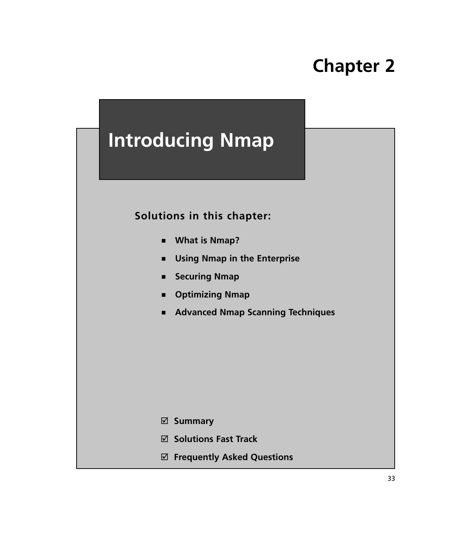# **Chapter 2**

# **Introducing Nmap**

### **Solutions in this chapter:**

- What is Nmap?
- ■ **Using Nmap in the Enterprise**
- ■ **Securing Nmap**
- **Optimizing Nmap**
- ■ **Advanced Nmap Scanning Techniques**

- ˛ **Summary**
- ˛ **Solutions Fast Track**
- ˛ **Frequently Asked Questions**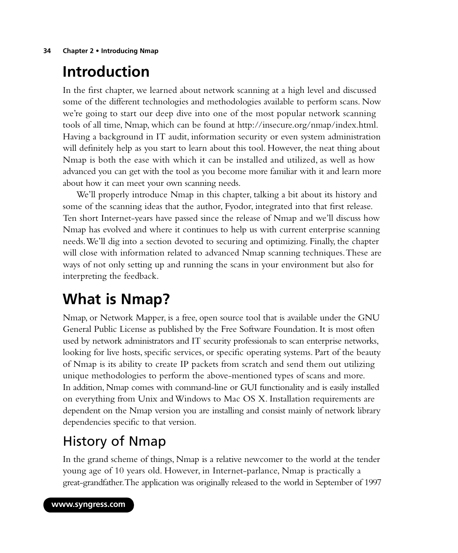## **Introduction**

In the first chapter, we learned about network scanning at a high level and discussed some of the different technologies and methodologies available to perform scans. Now we're going to start our deep dive into one of the most popular network scanning tools of all time, Nmap, which can be found at http://insecure.org/nmap/index.html. Having a background in IT audit, information security or even system administration will definitely help as you start to learn about this tool. However, the neat thing about Nmap is both the ease with which it can be installed and utilized, as well as how advanced you can get with the tool as you become more familiar with it and learn more about how it can meet your own scanning needs.

We'll properly introduce Nmap in this chapter, talking a bit about its history and some of the scanning ideas that the author, Fyodor, integrated into that first release. Ten short Internet-years have passed since the release of Nmap and we'll discuss how Nmap has evolved and where it continues to help us with current enterprise scanning needs. We'll dig into a section devoted to securing and optimizing. Finally, the chapter will close with information related to advanced Nmap scanning techniques. These are ways of not only setting up and running the scans in your environment but also for interpreting the feedback.

## **What is Nmap?**

Nmap, or Network Mapper, is a free, open source tool that is available under the GNU General Public License as published by the Free Software Foundation. It is most often used by network administrators and IT security professionals to scan enterprise networks, looking for live hosts, specific services, or specific operating systems. Part of the beauty of Nmap is its ability to create IP packets from scratch and send them out utilizing unique methodologies to perform the above-mentioned types of scans and more. In addition, Nmap comes with command-line or GUI functionality and is easily installed on everything from Unix and Windows to Mac OS X. Installation requirements are dependent on the Nmap version you are installing and consist mainly of network library dependencies specific to that version.

### History of Nmap

In the grand scheme of things, Nmap is a relative newcomer to the world at the tender young age of 10 years old. However, in Internet-parlance, Nmap is practically a great-grandfather. The application was originally released to the world in September of 1997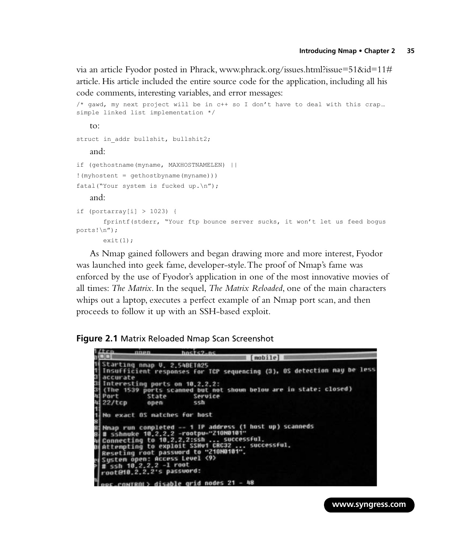via an article Fyodor posted in Phrack, www.phrack.org/issues.html?issue=51&id=11# article. His article included the entire source code for the application, including all his code comments, interesting variables, and error messages:

```
/* gawd, my next project will be in c++ so I don't have to deal with this crap...
simple linked list implementation */
   to:
struct in addr bullshit, bullshit2;
   and:
if (gethostname(myname, MAXHOSTNAMELEN) ||
!(myhostent = gethostbyname(myname)))
fatal("Your system is fucked up.\n");
   and:
if (portarray[i] > 1023) {
        fprintf(stderr, "Your ftp bounce server sucks, it won't let us feed bogus 
ports!\n");
      exit(1);
```
As Nmap gained followers and began drawing more and more interest, Fyodor was launched into geek fame, developer-style. The proof of Nmap's fame was enforced by the use of Fyodor's application in one of the most innovative movies of all times: *The Matrix*. In the sequel, *The Matrix Reloaded*, one of the main characters whips out a laptop, executes a perfect example of an Nmap port scan, and then proceeds to follow it up with an SSH-based exploit.

#### **Figure 2.1** Matrix Reloaded Nmap Scan Screenshot

| <u>igh</u><br>$h$ nctc $2 - ne$<br>nnan                                                                                                                                                                                                                                            |  |
|------------------------------------------------------------------------------------------------------------------------------------------------------------------------------------------------------------------------------------------------------------------------------------|--|
| [mobile] #                                                                                                                                                                                                                                                                         |  |
| 1 Starting nmap V. 2.54BETA25<br>1 Insufficient responses for TCP sequencing (3), OS detection may be less<br>3] accurate<br>34 Interesting ports on 10.2.2.2:<br>4 22/tcp open ssh<br>1 No exact OS natches for host<br>8 Nmap run completed -- 1 IP address (1 host up) scanneds |  |
| 8 # sshnuke 10.2.2.2 -rootpu="210N0101"<br>4 Connecting to 10.2.2.2:ssh  successful.<br>Of Attempting to exploit SSHv1 CRC32  successful.<br>Reseting root password to "210N0101".<br>e System open: Access Level <9><br># ssh 10.2.2.2 -1 root<br> root@10.2.2.2's password:      |  |
| Topr contract > disable grid nodes 21 - 48                                                                                                                                                                                                                                         |  |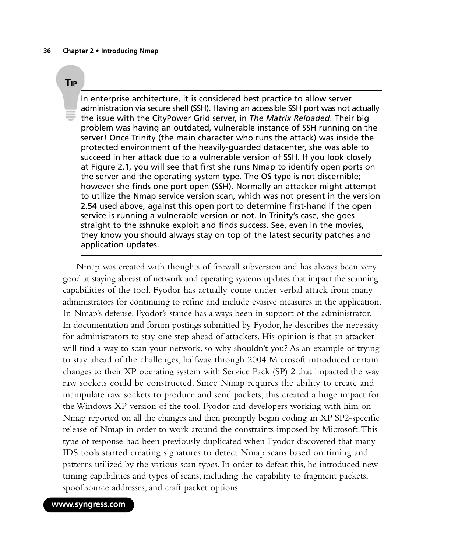#### **TIP**

In enterprise architecture, it is considered best practice to allow server administration via secure shell (SSH). Having an accessible SSH port was not actually the issue with the CityPower Grid server, in *The Matrix Reloaded*. Their big problem was having an outdated, vulnerable instance of SSH running on the server! Once Trinity (the main character who runs the attack) was inside the protected environment of the heavily-guarded datacenter, she was able to succeed in her attack due to a vulnerable version of SSH. If you look closely at Figure 2.1, you will see that first she runs Nmap to identify open ports on the server and the operating system type. The OS type is not discernible; however she finds one port open (SSH). Normally an attacker might attempt to utilize the Nmap service version scan, which was not present in the version 2.54 used above, against this open port to determine first-hand if the open service is running a vulnerable version or not. In Trinity's case, she goes straight to the sshnuke exploit and finds success. See, even in the movies, they know you should always stay on top of the latest security patches and application updates.

Nmap was created with thoughts of firewall subversion and has always been very good at staying abreast of network and operating systems updates that impact the scanning capabilities of the tool. Fyodor has actually come under verbal attack from many administrators for continuing to refine and include evasive measures in the application. In Nmap's defense, Fyodor's stance has always been in support of the administrator. In documentation and forum postings submitted by Fyodor, he describes the necessity for administrators to stay one step ahead of attackers. His opinion is that an attacker will find a way to scan your network, so why shouldn't you? As an example of trying to stay ahead of the challenges, halfway through 2004 Microsoft introduced certain changes to their XP operating system with Service Pack (SP) 2 that impacted the way raw sockets could be constructed. Since Nmap requires the ability to create and manipulate raw sockets to produce and send packets, this created a huge impact for the Windows XP version of the tool. Fyodor and developers working with him on Nmap reported on all the changes and then promptly began coding an XP SP2-specific release of Nmap in order to work around the constraints imposed by Microsoft. This type of response had been previously duplicated when Fyodor discovered that many IDS tools started creating signatures to detect Nmap scans based on timing and patterns utilized by the various scan types. In order to defeat this, he introduced new timing capabilities and types of scans, including the capability to fragment packets, spoof source addresses, and craft packet options.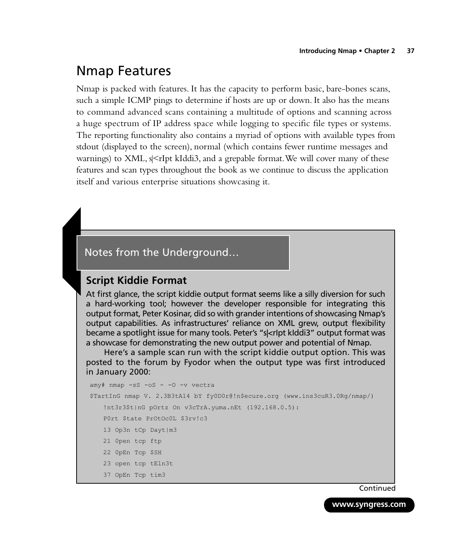### Nmap Features

Nmap is packed with features. It has the capacity to perform basic, bare-bones scans, such a simple ICMP pings to determine if hosts are up or down. It also has the means to command advanced scans containing a multitude of options and scanning across a huge spectrum of IP address space while logging to specific file types or systems. The reporting functionality also contains a myriad of options with available types from stdout (displayed to the screen), normal (which contains fewer runtime messages and warnings) to  $XML$ ,  $s$  <  $rIpt$  kIddi3, and a grepable format. We will cover many of these features and scan types throughout the book as we continue to discuss the application itself and various enterprise situations showcasing it.

### Notes from the Underground…

### **Script Kiddie Format**

At first glance, the script kiddie output format seems like a silly diversion for such a hard-working tool; however the developer responsible for integrating this output format, Peter Kosinar, did so with grander intentions of showcasing Nmap's output capabilities. As infrastructures' reliance on XML grew, output flexibility became a spotlight issue for many tools. Peter's "s|<rIpt kIddi3" output format was a showcase for demonstrating the new output power and potential of Nmap.

Here's a sample scan run with the script kiddie output option. This was posted to the forum by Fyodor when the output type was first introduced in January 2000:

```
amy# nmap -sS -oS - -0 -v vectra
$TartInG nmap V. 2.3B3tA14 bY fy0D0r@!n$ecure.org (www.ins3cuR3.0Rg/nmap/)
   !nt3r3$t|nG pOrtz On v3cTrA.yuma.nEt (192.168.0.5):
   P0rt $tate PrOtOc0L $3rv!c3
   13 Op3n tCp Dayt|m3
   21 0pen tcp ftp
   22 0pEn Tcp $SH
   23 open tcp tEln3t
   37 OpEn Tcp tim3
```
Continued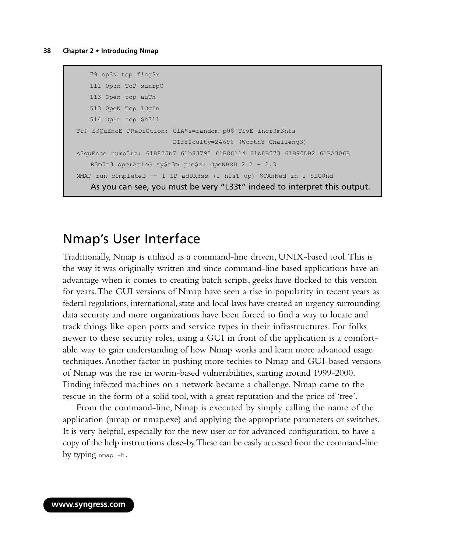```
79 op3N tcp f!ng3r
   111 0p3n TcP sunrpC
   113 Open tcp auTh
   513 0peN Tcp lOgIn
   514 OpEn tcp $h3ll
TcP S3QuEncE PReDiCtion: ClA$s=random p0$|TivE incr3m3nts
                          DIffIculty=24696 (WorthY Challeng3)
s3quEnce numb3rz: 61B825b7 61b83793 61B88114 61b8B073 61B90DB2 61BA306B
   R3m0t3 operAtInG sy$t3m gue$z: OpeNBSD 2.2 - 2.3
NMAP run c0mpleteD –- 1 IP adDR3ss (1 h0sT up) $CAnNed in 1 SEC0nd
   As you can see, you must be very "L33t" indeed to interpret this output.
```
### Nmap's User Interface

Traditionally, Nmap is utilized as a command-line driven, UNIX-based tool. This is the way it was originally written and since command-line based applications have an advantage when it comes to creating batch scripts, geeks have flocked to this version for years. The GUI versions of Nmap have seen a rise in popularity in recent years as federal regulations, international, state and local laws have created an urgency surrounding data security and more organizations have been forced to find a way to locate and track things like open ports and service types in their infrastructures. For folks newer to these security roles, using a GUI in front of the application is a comfortable way to gain understanding of how Nmap works and learn more advanced usage techniques. Another factor in pushing more techies to Nmap and GUI-based versions of Nmap was the rise in worm-based vulnerabilities, starting around 1999-2000. Finding infected machines on a network became a challenge. Nmap came to the rescue in the form of a solid tool, with a great reputation and the price of 'free'.

From the command-line, Nmap is executed by simply calling the name of the application (nmap or nmap.exe) and applying the appropriate parameters or switches. It is very helpful, especially for the new user or for advanced configuration, to have a copy of the help instructions close-by. These can be easily accessed from the command-line by typing nmap –h.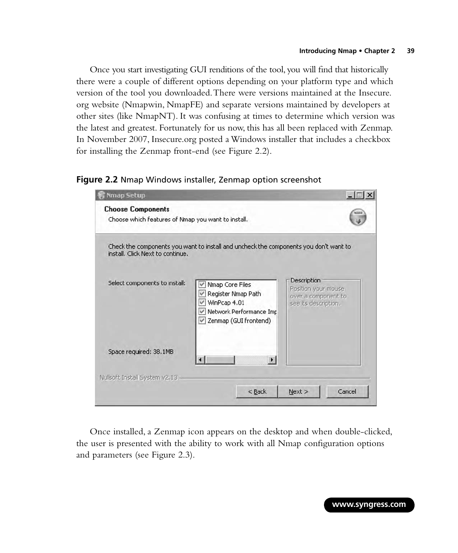Once you start investigating GUI renditions of the tool, you will find that historically there were a couple of different options depending on your platform type and which version of the tool you downloaded. There were versions maintained at the Insecure. org website (Nmapwin, NmapFE) and separate versions maintained by developers at other sites (like NmapNT). It was confusing at times to determine which version was the latest and greatest. Fortunately for us now, this has all been replaced with Zenmap. In November 2007, Insecure.org posted a Windows installer that includes a checkbox for installing the Zenmap front-end (see Figure 2.2).

| <b>Choose Components</b><br>Choose which features of Nmap you want to install. |                                                                                                             |                                                                                   |
|--------------------------------------------------------------------------------|-------------------------------------------------------------------------------------------------------------|-----------------------------------------------------------------------------------|
| install, Click Next to continue.                                               | Check the components you want to install and uncheck the components you don't want to                       |                                                                                   |
| Select components to install:                                                  | Nmap Core Files<br>Register Nmap Path<br>WinPcap 4.01<br>Network Performance Imp<br>√ Zenmap (GUI frontend) | Description<br>Position your mouse<br>over a component to<br>see its description. |
| Space required: 38.1MB                                                         | $\blacktriangleright$                                                                                       |                                                                                   |
| Nullsoft Install System v2.13                                                  |                                                                                                             |                                                                                   |

#### **Figure 2.2** Nmap Windows installer, Zenmap option screenshot

Once installed, a Zenmap icon appears on the desktop and when double-clicked, the user is presented with the ability to work with all Nmap configuration options and parameters (see Figure 2.3).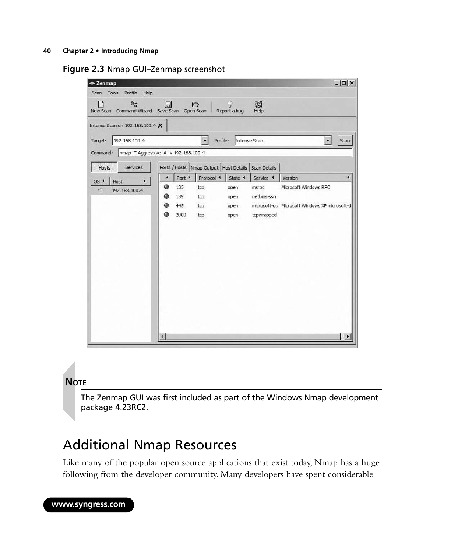|  |  |  | Figure 2.3 Nmap GUI-Zenmap screenshot |  |
|--|--|--|---------------------------------------|--|
|--|--|--|---------------------------------------|--|

| <b>Example</b><br>Scan Tools    | Profile<br>$\Phi_{\alpha}^{2}$                                                         | Help<br>$\rightarrow$                  |                           | A                                                         |                              | 0                                  | $ \Box$ $\times$                                                       |
|---------------------------------|----------------------------------------------------------------------------------------|----------------------------------------|---------------------------|-----------------------------------------------------------|------------------------------|------------------------------------|------------------------------------------------------------------------|
| New Scan<br>Target:<br>Command: | Command Wizard Save Scan Open Scan<br>Intense Scan on 192.168.100.4 X<br>192.168.100.4 | nmap -T Aggressive -A -v 192.168.100.4 |                           | $\overline{\phantom{0}}$<br>Profile:                      | Report a bug<br>Intense Scan | Help                               | Scan<br>$\blacktriangledown$                                           |
| Hosts                           | Services                                                                               |                                        |                           | Ports / Hosts   Nmap Output   Host Details   Scan Details |                              |                                    |                                                                        |
| $OS$ $\rightarrow$              | Host                                                                                   | $\blacktriangleleft$                   | Port 4                    | Protocol 4                                                | State 1                      | Service 1                          | Version                                                                |
| $\overline{\phantom{a}}$        | 192.168.100.4                                                                          | ◕<br>Ф<br>0<br>⋒                       | 135<br>139<br>445<br>2000 | tcp<br>tcp<br>tcp<br>tcp                                  | open<br>open<br>open<br>open | msrpc<br>netbios-ssn<br>tcpwrapped | Microsoft Windows RPC<br>microsoft-ds Microsoft Windows XP microsoft-d |
|                                 |                                                                                        |                                        |                           |                                                           |                              |                                    |                                                                        |

### **NOTE**

The Zenmap GUI was first included as part of the Windows Nmap development package 4.23RC2.

## Additional Nmap Resources

Like many of the popular open source applications that exist today, Nmap has a huge following from the developer community. Many developers have spent considerable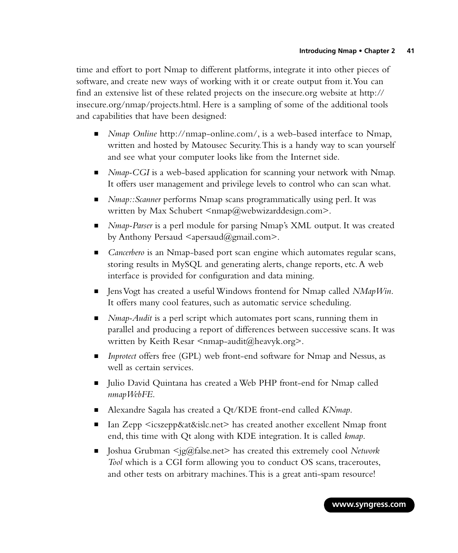time and effort to port Nmap to different platforms, integrate it into other pieces of software, and create new ways of working with it or create output from it. You can find an extensive list of these related projects on the insecure.org website at http:// insecure.org/nmap/projects.html. Here is a sampling of some of the additional tools and capabilities that have been designed:

- *Nmap Online* http://nmap-online.com/, is a web-based interface to Nmap, written and hosted by Matousec Security. This is a handy way to scan yourself and see what your computer looks like from the Internet side.
- *Nmap-CGI* is a web-based application for scanning your network with Nmap. It offers user management and privilege levels to control who can scan what.
- *Nmap::Scanner* performs Nmap scans programmatically using perl. It was written by Max Schubert  $\leq$ nmap@webwizarddesign.com>.
- *Nmap-Parser* is a perl module for parsing Nmap's XML output. It was created by Anthony Persaud  $\langle \text{apersaud}(\omega \rangle)$  =  $\langle \text{qemail.com} \rangle$ .
- *Cancerbero* is an Nmap-based port scan engine which automates regular scans, storing results in MySQL and generating alerts, change reports, etc. A web interface is provided for configuration and data mining.
- Jens Vogt has created a useful Windows frontend for Nmap called *NMapWin*. It offers many cool features, such as automatic service scheduling.
- *Nmap-Audit* is a perl script which automates port scans, running them in parallel and producing a report of differences between successive scans. It was written by Keith Resar <nmap-audit@heavyk.org>.
- *Inprotect* offers free (GPL) web front-end software for Nmap and Nessus, as well as certain services.
- Julio David Quintana has created a Web PHP front-end for Nmap called *nmapWebFE*.
- Alexandre Sagala has created a Qt/KDE front-end called *KNmap*.
- Ian Zepp <icszepp&at&islc.net> has created another excellent Nmap front end, this time with Qt along with KDE integration. It is called *kmap*.
- Joshua Grubman <jg@false.net> has created this extremely cool *Network Tool* which is a CGI form allowing you to conduct OS scans, traceroutes, and other tests on arbitrary machines. This is a great anti-spam resource!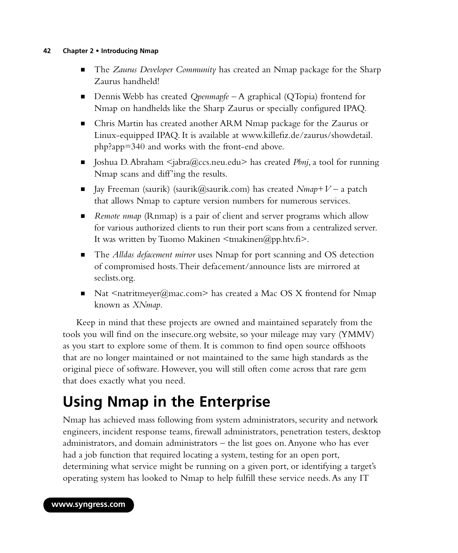- The *Zaurus Developer Community* has created an Nmap package for the Sharp Zaurus handheld!
- Dennis Webb has created *Qpenmapfe* A graphical (QTopia) frontend for Nmap on handhelds like the Sharp Zaurus or specially configured IPAQ.
- Chris Martin has created another ARM Nmap package for the Zaurus or Linux-equipped IPAQ. It is available at www.killefiz.de/zaurus/showdetail. php?app=340 and works with the front-end above.
- Joshua D. Abraham <jabra@ccs.neu.edu> has created *Pbnj*, a tool for running Nmap scans and diff'ing the results.
- Jay Freeman (saurik) (saurik@saurik.com) has created *Nmap*+*V* a patch that allows Nmap to capture version numbers for numerous services.
- *Remote nmap* (Rnmap) is a pair of client and server programs which allow for various authorized clients to run their port scans from a centralized server. It was written by Tuomo Makinen  $\leq$ tmakinen $\omega$ pp.htv.fi>.
- The *Alldas defacement mirror* uses Nmap for port scanning and OS detection of compromised hosts. Their defacement/announce lists are mirrored at seclists.org.
- $\blacksquare$  Nat <natritmeyer@mac.com> has created a Mac OS X frontend for Nmap known as *XNmap*.

Keep in mind that these projects are owned and maintained separately from the tools you will find on the insecure.org website, so your mileage may vary (YMMV) as you start to explore some of them. It is common to find open source offshoots that are no longer maintained or not maintained to the same high standards as the original piece of software. However, you will still often come across that rare gem that does exactly what you need.

## **Using Nmap in the Enterprise**

Nmap has achieved mass following from system administrators, security and network engineers, incident response teams, firewall administrators, penetration testers, desktop administrators, and domain administrators – the list goes on. Anyone who has ever had a job function that required locating a system, testing for an open port, determining what service might be running on a given port, or identifying a target's operating system has looked to Nmap to help fulfill these service needs. As any IT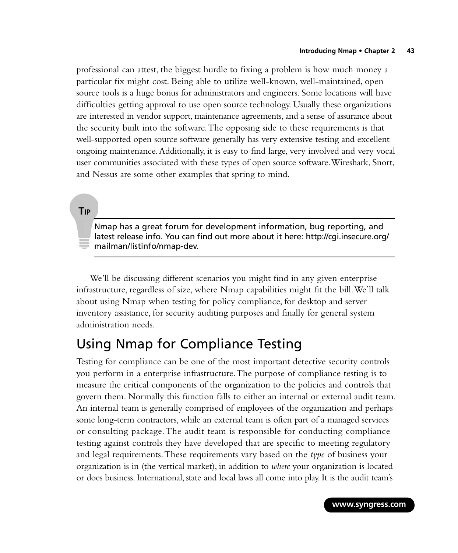professional can attest, the biggest hurdle to fixing a problem is how much money a particular fix might cost. Being able to utilize well-known, well-maintained, open source tools is a huge bonus for administrators and engineers. Some locations will have difficulties getting approval to use open source technology. Usually these organizations are interested in vendor support, maintenance agreements, and a sense of assurance about the security built into the software. The opposing side to these requirements is that well-supported open source software generally has very extensive testing and excellent ongoing maintenance. Additionally, it is easy to find large, very involved and very vocal user communities associated with these types of open source software. Wireshark, Snort, and Nessus are some other examples that spring to mind.

#### **TIP**

Nmap has a great forum for development information, bug reporting, and latest release info. You can find out more about it here: http://cgi.insecure.org/ mailman/listinfo/nmap-dev.

We'll be discussing different scenarios you might find in any given enterprise infrastructure, regardless of size, where Nmap capabilities might fit the bill. We'll talk about using Nmap when testing for policy compliance, for desktop and server inventory assistance, for security auditing purposes and finally for general system administration needs.

## Using Nmap for Compliance Testing

Testing for compliance can be one of the most important detective security controls you perform in a enterprise infrastructure. The purpose of compliance testing is to measure the critical components of the organization to the policies and controls that govern them. Normally this function falls to either an internal or external audit team. An internal team is generally comprised of employees of the organization and perhaps some long-term contractors, while an external team is often part of a managed services or consulting package. The audit team is responsible for conducting compliance testing against controls they have developed that are specific to meeting regulatory and legal requirements. These requirements vary based on the *type* of business your organization is in (the vertical market), in addition to *where* your organization is located or does business. International, state and local laws all come into play. It is the audit team's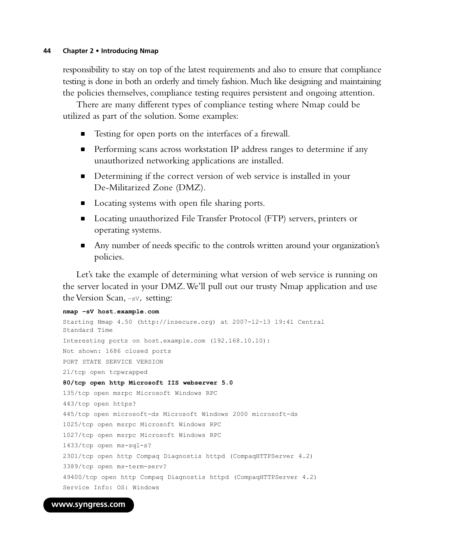responsibility to stay on top of the latest requirements and also to ensure that compliance testing is done in both an orderly and timely fashion. Much like designing and maintaining the policies themselves, compliance testing requires persistent and ongoing attention.

There are many different types of compliance testing where Nmap could be utilized as part of the solution. Some examples:

- Testing for open ports on the interfaces of a firewall.
- Performing scans across workstation IP address ranges to determine if any unauthorized networking applications are installed.
- Determining if the correct version of web service is installed in your De-Militarized Zone (DMZ).
- Locating systems with open file sharing ports.
- Locating unauthorized File Transfer Protocol (FTP) servers, printers or operating systems.
- Any number of needs specific to the controls written around your organization's policies.

Let's take the example of determining what version of web service is running on the server located in your DMZ. We'll pull out our trusty Nmap application and use the Version Scan, –sV, setting:

```
nmap –sV host.example.com
Starting Nmap 4.50 (http://insecure.org) at 2007-12-13 19:41 Central 
Standard Time
Interesting ports on host.example.com (192.168.10.10):
Not shown: 1686 closed ports
PORT STATE SERVICE VERSION
21/tcp open tcpwrapped
80/tcp open http Microsoft IIS webserver 5.0
135/tcp open msrpc Microsoft Windows RPC
443/tcp open https?
445/tcp open microsoft-ds Microsoft Windows 2000 microsoft-ds
1025/tcp open msrpc Microsoft Windows RPC
1027/tcp open msrpc Microsoft Windows RPC
1433/tcp open ms-sql-s?
2301/tcp open http Compaq Diagnostis httpd (CompaqHTTPServer 4.2)
3389/tcp open ms-term-serv?
49400/tcp open http Compaq Diagnostis httpd (CompaqHTTPServer 4.2)
Service Info: OS: Windows
```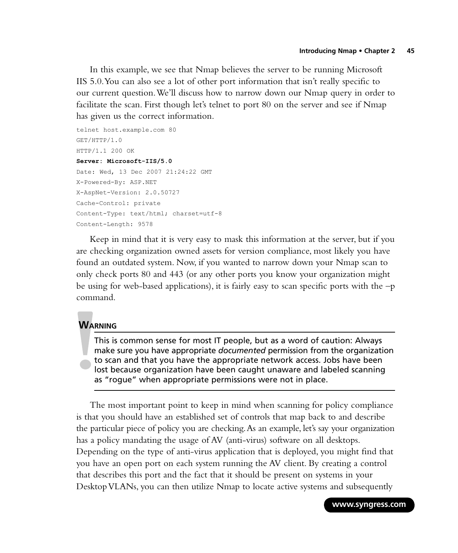In this example, we see that Nmap believes the server to be running Microsoft IIS 5.0. You can also see a lot of other port information that isn't really specific to our current question. We'll discuss how to narrow down our Nmap query in order to facilitate the scan. First though let's telnet to port 80 on the server and see if Nmap has given us the correct information.

```
telnet host.example.com 80
GET/HTTP/1.0
HTTP/1.1 200 OK
Server: Microsoft-IIS/5.0
Date: Wed, 13 Dec 2007 21:24:22 GMT
X-Powered-By: ASP.NET
X-AspNet-Version: 2.0.50727
Cache-Control: private
Content-Type: text/html; charset=utf-8
Content-Length: 9578
```
Keep in mind that it is very easy to mask this information at the server, but if you are checking organization owned assets for version compliance, most likely you have found an outdated system. Now, if you wanted to narrow down your Nmap scan to only check ports 80 and 443 (or any other ports you know your organization might be using for web-based applications), it is fairly easy to scan specific ports with the  $-p$ command.

### **WARNING**

This is common sense for most IT people, but as a word of caution: Always make sure you have appropriate *documented* permission from the organization to scan and that you have the appropriate network access. Jobs have been lost because organization have been caught unaware and labeled scanning as "rogue" when appropriate permissions were not in place.

The most important point to keep in mind when scanning for policy compliance is that you should have an established set of controls that map back to and describe the particular piece of policy you are checking. As an example, let's say your organization has a policy mandating the usage of AV (anti-virus) software on all desktops. Depending on the type of anti-virus application that is deployed, you might find that you have an open port on each system running the AV client. By creating a control that describes this port and the fact that it should be present on systems in your Desktop VLANs, you can then utilize Nmap to locate active systems and subsequently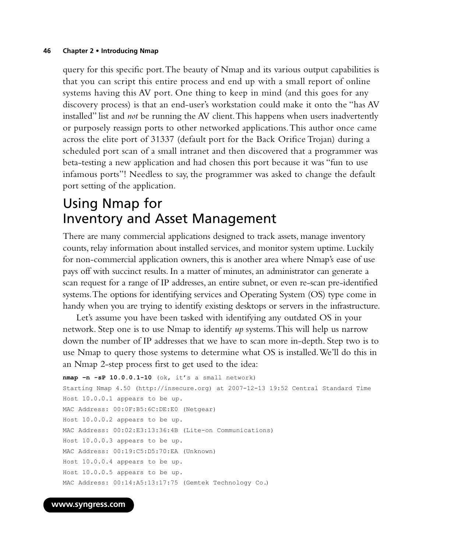query for this specific port. The beauty of Nmap and its various output capabilities is that you can script this entire process and end up with a small report of online systems having this AV port. One thing to keep in mind (and this goes for any discovery process) is that an end-user's workstation could make it onto the "has AV installed" list and *not* be running the AV client. This happens when users inadvertently or purposely reassign ports to other networked applications. This author once came across the elite port of 31337 (default port for the Back Orifice Trojan) during a scheduled port scan of a small intranet and then discovered that a programmer was beta-testing a new application and had chosen this port because it was "fun to use infamous ports"! Needless to say, the programmer was asked to change the default port setting of the application.

## Using Nmap for Inventory and Asset Management

There are many commercial applications designed to track assets, manage inventory counts, relay information about installed services, and monitor system uptime. Luckily for non-commercial application owners, this is another area where Nmap's ease of use pays off with succinct results. In a matter of minutes, an administrator can generate a scan request for a range of IP addresses, an entire subnet, or even re-scan pre-identified systems. The options for identifying services and Operating System (OS) type come in handy when you are trying to identify existing desktops or servers in the infrastructure.

Let's assume you have been tasked with identifying any outdated OS in your network. Step one is to use Nmap to identify *up* systems. This will help us narrow down the number of IP addresses that we have to scan more in-depth. Step two is to use Nmap to query those systems to determine what OS is installed. We'll do this in an Nmap 2-step process first to get used to the idea:

```
nmap –n -sP 10.0.0.1-10 (ok, it's a small network)
Starting Nmap 4.50 (http://insecure.org) at 2007-12-13 19:52 Central Standard Time
Host 10.0.0.1 appears to be up.
MAC Address: 00:0F:B5:6C:DE:E0 (Netgear)
Host 10.0.0.2 appears to be up.
MAC Address: 00:02:E3:13:36:4B (Lite-on Communications)
Host 10.0.0.3 appears to be up.
MAC Address: 00:19:C5:D5:70:EA (Unknown)
Host 10.0.0.4 appears to be up.
Host 10.0.0.5 appears to be up.
MAC Address: 00:14:A5:13:17:75 (Gemtek Technology Co.)
```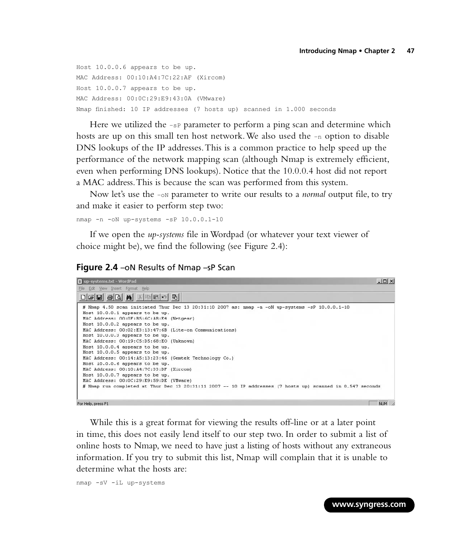```
Host 10.0.0.6 appears to be up.
MAC Address: 00:10:A4:7C:22:AF (Xircom)
Host 10.0.0.7 appears to be up.
MAC Address: 00:0C:29:E9:43:0A (VMware)
Nmap finished: 10 IP addresses (7 hosts up) scanned in 1.000 seconds
```
Here we utilized the  $-\text{SP}$  parameter to perform a ping scan and determine which hosts are up on this small ten host network. We also used the –n option to disable DNS lookups of the IP addresses. This is a common practice to help speed up the performance of the network mapping scan (although Nmap is extremely efficient, even when performing DNS lookups). Notice that the 10.0.0.4 host did not report a MAC address. This is because the scan was performed from this system.

Now let's use the  $-\infty$  parameter to write our results to a *normal* output file, to try and make it easier to perform step two:

nmap -n -oN up-systems -sP 10.0.0.1-10

If we open the *up-systems* file in Wordpad (or whatever your text viewer of choice might be), we find the following (see Figure 2.4):

```
Figure 2.4 –oN Results of Nmap –sP Scan
```

| Up-systems.txt - WordPad                                                                                   | $ \Box$ $\times$ |
|------------------------------------------------------------------------------------------------------------|------------------|
| File Edit View Insert Format Help                                                                          |                  |
| 自め風<br>$ \mathcal{B} $ $\mathcal{B} $ $\mathcal{B} $ $\mathcal{B} $<br>8 电                                 |                  |
| # Nmap 4.50 scan initiated Thur Dec 13 20:31:10 2007 as: nmap -n -oN up-systems -sP 10.0.0.1-10            |                  |
| Host 10.0.0.1 appears to be up.                                                                            |                  |
| MAC Address: OO:OF:B5:6C:AB:E4 (Netgear)                                                                   |                  |
| Host 10.0.0.2 appears to be up.                                                                            |                  |
| MAC Address: 00:02:E3:13:47:6B (Lite-on Communications)                                                    |                  |
| Host 10.0.0.3 appears to be up.                                                                            |                  |
| MAC Address: 00:19:C5:D5:68:EO (Unknown)                                                                   |                  |
| Host 10.0.0.4 appears to be up.                                                                            |                  |
| Host 10.0.0.5 appears to be up.                                                                            |                  |
| MAC Address: 00:14:A5:13:23:46 (Gemtek Technology Co.)                                                     |                  |
| Host 10.0.0.6 appears to be up.                                                                            |                  |
| MAC Address: 00:10:A4:7C:33:DF (Xircom)                                                                    |                  |
| Host 10.0.0.7 appears to be up.                                                                            |                  |
| MAC Address: 00:0C:29:E9:59:DE (VMware)                                                                    |                  |
| # Nmap run completed at Thur Dec 13 20:31:11 2007 -- 10 IP addresses (7 hosts up) scanned in 0.547 seconds |                  |
|                                                                                                            |                  |
|                                                                                                            |                  |
| For Help, press F1                                                                                         | NHM              |

While this is a great format for viewing the results off-line or at a later point in time, this does not easily lend itself to our step two. In order to submit a list of online hosts to Nmap, we need to have just a listing of hosts without any extraneous information. If you try to submit this list, Nmap will complain that it is unable to determine what the hosts are:

nmap -sV -iL up-systems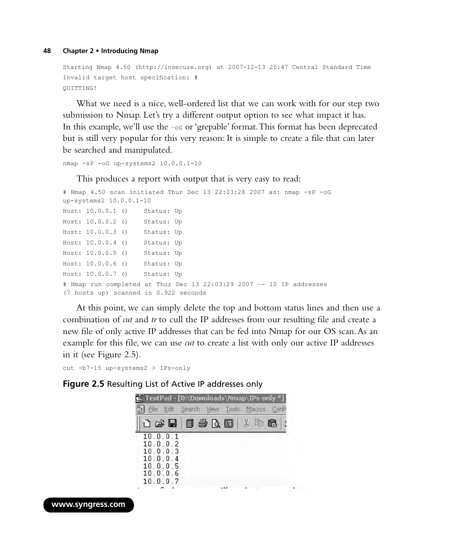```
Starting Nmap 4.50 (http://insecure.org) at 2007-12-13 20:47 Central Standard Time
Invalid target host specification: #
QUITTING!
```
What we need is a nice, well-ordered list that we can work with for our step two submission to Nmap. Let's try a different output option to see what impact it has. In this example, we'll use the  $-\infty$  or 'grepable' format. This format has been deprecated but is still very popular for this very reason: It is simple to create a file that can later be searched and manipulated.

nmap -sP -oG up-systems2 10.0.0.1-10

This produces a report with output that is very easy to read:

```
# Nmap 4.50 scan initiated Thur Dec 13 22:03:28 2007 as: nmap -sP -oG 
up-systems2 10.0.0.1-10
Host: 10.0.0.1 () Status: Up
Host: 10.0.0.2 () Status: Up
Host: 10.0.0.3 () Status: Up
Host: 10.0.0.4 () Status: Up
Host: 10.0.0.5 () Status: Up
Host: 10.0.0.6 () Status: Up
Host: 10.0.0.7 () Status: Up
# Nmap run completed at Thur Dec 13 22:03:29 2007 –- 10 IP addresses 
(7 hosts up) scanned in 0.922 seconds
```
At this point, we can simply delete the top and bottom status lines and then use a combination of *cut* and *tr* to cull the IP addresses from our resulting file and create a new file of only active IP addresses that can be fed into Nmap for our OS scan. As an example for this file, we can use *cut* to create a list with only our active IP addresses in it (see Figure 2.5).

cut -b7-15 up-systems2 > IPs-only

#### **Figure 2.5** Resulting List of Active IP addresses only



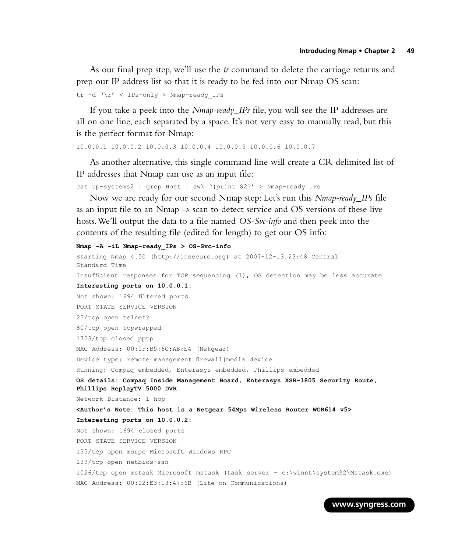As our final prep step, we'll use the *tr* command to delete the carriage returns and prep our IP address list so that it is ready to be fed into our Nmap OS scan:

```
tr -d \iotar' < IPs-only > Nmap-ready IPs
```
If you take a peek into the *Nmap-ready\_IPs* file, you will see the IP addresses are all on one line, each separated by a space. It's not very easy to manually read, but this is the perfect format for Nmap:

```
10.0.0.1 10.0.0.2 10.0.0.3 10.0.0.4 10.0.0.5 10.0.0.6 10.0.0.7
```
As another alternative, this single command line will create a CR delimited list of IP addresses that Nmap can use as an input file:

```
cat up-systems2 | grep Host | awk '{print $2}' > Nmap-ready IPs
```
Now we are ready for our second Nmap step: Let's run this *Nmap-ready\_IPs* file as an input file to an Nmap  $-A$  scan to detect service and OS versions of these live hosts. We'll output the data to a file named *OS-Svc-info* and then peek into the contents of the resulting file (edited for length) to get our OS info:

```
Nmap –A –iL Nmap-ready_IPs > OS-Svc-info
Starting Nmap 4.50 (http://insecure.org) at 2007-12-13 23:48 Central 
Standard Time
Insufficient responses for TCP sequencing (1), OS detection may be less accurate
Interesting ports on 10.0.0.1:
Not shown: 1694 filtered ports
PORT STATE SERVICE VERSION
23/tcp open telnet?
80/tcp open tcpwrapped
1723/tcp closed pptp
MAC Address: 00:0F:B5:6C:AB:E4 (Netgear)
Device type: remote management|firewall|media device
Running: Compaq embedded, Enterasys embedded, Phillips embedded
OS details: Compaq Inside Management Board, Enterasys XSR-1805 Security Route, 
Phillips ReplayTV 5000 DVR
Network Distance: 1 hop
<Author's Note: This host is a Netgear 54Mps Wireless Router WGR614 v5>
Interesting ports on 10.0.0.2:
Not shown: 1694 closed ports
PORT STATE SERVICE VERSION
135/tcp open msrpc Microsoft Windows RPC
139/tcp open netbios-ssn
1026/tcp open mstask Microsoft mstask (task server - c:\winnt\system32\Mstask.exe)
MAC Address: 00:02:E3:13:47:6B (Lite-on Communications)
```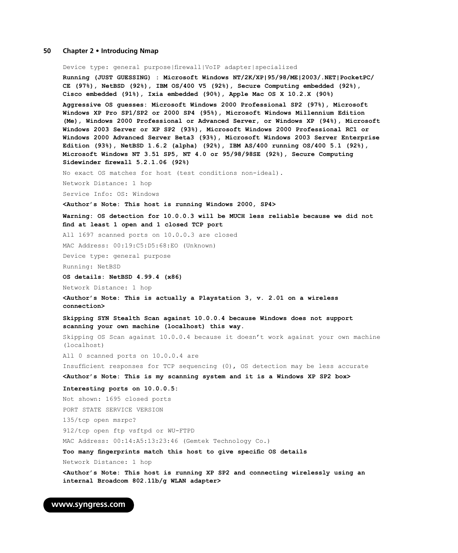Device type: general purpose|firewall|VoIP adapter|specialized **Running (JUST GUESSING) : Microsoft Windows NT/2K/XP|95/98/ME|2003/.NET|PocketPC/ CE (97%), NetBSD (92%), IBM OS/400 V5 (92%), Secure Computing embedded (92%), Cisco embedded (91%), Ixia embedded (90%), Apple Mac OS X 10.2.X (90%) Aggressive OS guesses: Microsoft Windows 2000 Professional SP2 (97%), Microsoft Windows XP Pro SP1/SP2 or 2000 SP4 (95%), Microsoft Windows Millennium Edition (Me), Windows 2000 Professional or Advanced Server, or Windows XP (94%), Microsoft Windows 2003 Server or XP SP2 (93%), Microsoft Windows 2000 Professional RC1 or Windows 2000 Advanced Server Beta3 (93%), Microsoft Windows 2003 Server Enterprise Edition (93%), NetBSD 1.6.2 (alpha) (92%), IBM AS/400 running OS/400 5.1 (92%), Microsoft Windows NT 3.51 SP5, NT 4.0 or 95/98/98SE (92%), Secure Computing Sidewinder firewall 5.2.1.06 (92%)** No exact OS matches for host (test conditions non-ideal). Network Distance: 1 hop Service Info: OS: Windows **<Author's Note: This host is running Windows 2000, SP4> Warning: OS detection for 10.0.0.3 will be MUCH less reliable because we did not find at least 1 open and 1 closed TCP port** All 1697 scanned ports on 10.0.0.3 are closed MAC Address: 00:19:C5:D5:68:EO (Unknown) Device type: general purpose Running: NetBSD **OS details: NetBSD 4.99.4 (x86)** Network Distance: 1 hop **<Author's Note: This is actually a Playstation 3, v. 2.01 on a wireless connection> Skipping SYN Stealth Scan against 10.0.0.4 because Windows does not support scanning your own machine (localhost) this way.** Skipping OS Scan against 10.0.0.4 because it doesn't work against your own machine (localhost) All 0 scanned ports on 10.0.0.4 are Insufficient responses for TCP sequencing (0), OS detection may be less accurate **<Author's Note: This is my scanning system and it is a Windows XP SP2 box> Interesting ports on 10.0.0.5:** Not shown: 1695 closed ports PORT STATE SERVICE VERSION 135/tcp open msrpc? 912/tcp open ftp vsftpd or WU-FTPD MAC Address: 00:14:A5:13:23:46 (Gemtek Technology Co.) **Too many fingerprints match this host to give specific OS details** Network Distance: 1 hop **<Author's Note: This host is running XP SP2 and connecting wirelessly using an internal Broadcom 802.11b/g WLAN adapter>**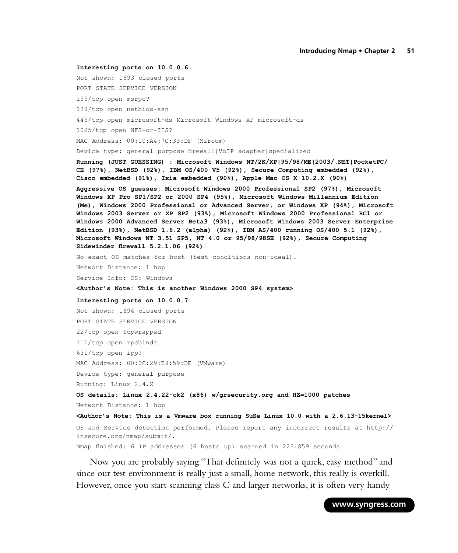```
Interesting ports on 10.0.0.6:
```
Not shown: 1693 closed ports PORT STATE SERVICE VERSION 135/tcp open msrpc? 139/tcp open netbios-ssn 445/tcp open microsoft-ds Microsoft Windows XP microsoft-ds 1025/tcp open NFS-or-IIS? MAC Address: 00:10:A4:7C:33:DF (Xircom) Device type: general purpose|firewall|VoIP adapter|specialized **Running (JUST GUESSING) : Microsoft Windows NT/2K/XP|95/98/ME|2003/.NET|PocketPC/ CE (97%), NetBSD (92%), IBM OS/400 V5 (92%), Secure Computing embedded (92%), Cisco embedded (91%), Ixia embedded (90%), Apple Mac OS X 10.2.X (90%) Aggressive OS guesses: Microsoft Windows 2000 Professional SP2 (97%), Microsoft Windows XP Pro SP1/SP2 or 2000 SP4 (95%), Microsoft Windows Millennium Edition (Me), Windows 2000 Professional or Advanced Server, or Windows XP (94%), Microsoft Windows 2003 Server or XP SP2 (93%), Microsoft Windows 2000 Professional RC1 or Windows 2000 Advanced Server Beta3 (93%), Microsoft Windows 2003 Server Enterprise Edition (93%), NetBSD 1.6.2 (alpha) (92%), IBM AS/400 running OS/400 5.1 (92%), Microsoft Windows NT 3.51 SP5, NT 4.0 or 95/98/98SE (92%), Secure Computing Sidewinder firewall 5.2.1.06 (92%)** No exact OS matches for host (test conditions non-ideal). Network Distance: 1 hop Service Info: OS: Windows **<Author's Note: This is another Windows 2000 SP4 system> Interesting ports on 10.0.0.7:** Not shown: 1694 closed ports PORT STATE SERVICE VERSION 22/tcp open tcpwrapped 111/tcp open rpcbind? 631/tcp open ipp? MAC Address: 00:0C:29:E9:59:DE (VMware) Device type: general purpose Running: Linux 2.4.X **OS details: Linux 2.4.22-ck2 (x86) w/grsecurity.org and HZ=1000 patches** Network Distance: 1 hop **<Author's Note: This is a Vmware box running SuSe Linux 10.0 with a 2.6.13-15kernel>**  OS and Service detection performed. Please report any incorrect results at http:// insecure.org/nmap/submit/. Nmap finished: 6 IP addresses (6 hosts up) scanned in 223.859 seconds

Now you are probably saying "That definitely was not a quick, easy method" and since our test environment is really just a small, home network, this really is overkill. However, once you start scanning class C and larger networks, it is often very handy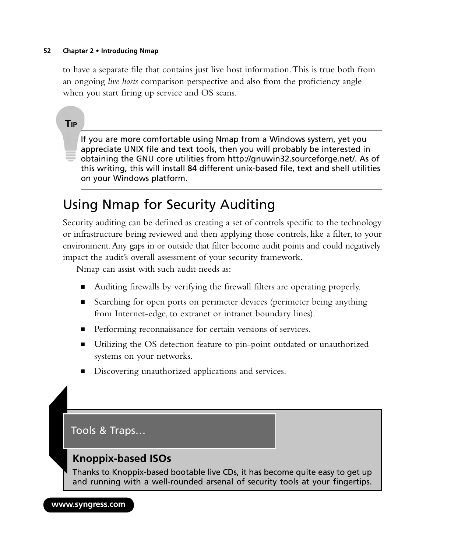to have a separate file that contains just live host information. This is true both from an ongoing *live hosts* comparison perspective and also from the proficiency angle when you start firing up service and OS scans.

**TIP**

If you are more comfortable using Nmap from a Windows system, yet you appreciate UNIX file and text tools, then you will probably be interested in obtaining the GNU core utilities from http://gnuwin32.sourceforge.net/. As of this writing, this will install 84 different unix-based file, text and shell utilities on your Windows platform.

## Using Nmap for Security Auditing

Security auditing can be defined as creating a set of controls specific to the technology or infrastructure being reviewed and then applying those controls, like a filter, to your environment. Any gaps in or outside that filter become audit points and could negatively impact the audit's overall assessment of your security framework.

Nmap can assist with such audit needs as:

- Auditing firewalls by verifying the firewall filters are operating properly.
- Searching for open ports on perimeter devices (perimeter being anything from Internet-edge, to extranet or intranet boundary lines).
- Performing reconnaissance for certain versions of services.
- Utilizing the OS detection feature to pin-point outdated or unauthorized systems on your networks.
- Discovering unauthorized applications and services.

Tools & Traps…

### **Knoppix-based ISOs**

Thanks to Knoppix-based bootable live CDs, it has become quite easy to get up and running with a well-rounded arsenal of security tools at your fingertips.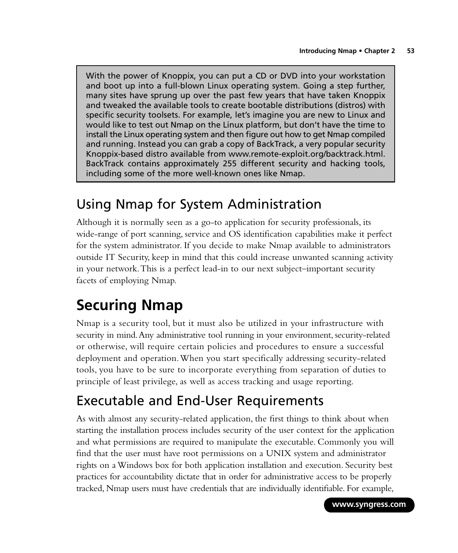With the power of Knoppix, you can put a CD or DVD into your workstation and boot up into a full-blown Linux operating system. Going a step further, many sites have sprung up over the past few years that have taken Knoppix and tweaked the available tools to create bootable distributions (distros) with specific security toolsets. For example, let's imagine you are new to Linux and would like to test out Nmap on the Linux platform, but don't have the time to install the Linux operating system and then figure out how to get Nmap compiled and running. Instead you can grab a copy of BackTrack, a very popular security Knoppix-based distro available from www.remote-exploit.org/backtrack.html. BackTrack contains approximately 255 different security and hacking tools, including some of the more well-known ones like Nmap.

## Using Nmap for System Administration

Although it is normally seen as a go-to application for security professionals, its wide-range of port scanning, service and OS identification capabilities make it perfect for the system administrator. If you decide to make Nmap available to administrators outside IT Security, keep in mind that this could increase unwanted scanning activity in your network. This is a perfect lead-in to our next subject–important security facets of employing Nmap.

## **Securing Nmap**

Nmap is a security tool, but it must also be utilized in your infrastructure with security in mind. Any administrative tool running in your environment, security-related or otherwise, will require certain policies and procedures to ensure a successful deployment and operation. When you start specifically addressing security-related tools, you have to be sure to incorporate everything from separation of duties to principle of least privilege, as well as access tracking and usage reporting.

## Executable and End-User Requirements

As with almost any security-related application, the first things to think about when starting the installation process includes security of the user context for the application and what permissions are required to manipulate the executable. Commonly you will find that the user must have root permissions on a UNIX system and administrator rights on a Windows box for both application installation and execution. Security best practices for accountability dictate that in order for administrative access to be properly tracked, Nmap users must have credentials that are individually identifiable. For example,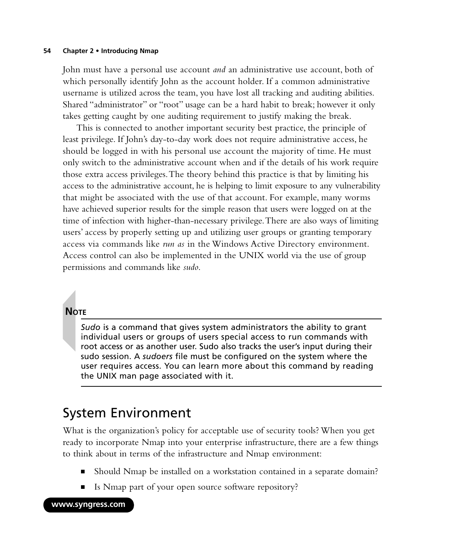John must have a personal use account *and* an administrative use account, both of which personally identify John as the account holder. If a common administrative username is utilized across the team, you have lost all tracking and auditing abilities. Shared "administrator" or "root" usage can be a hard habit to break; however it only takes getting caught by one auditing requirement to justify making the break.

This is connected to another important security best practice, the principle of least privilege. If John's day-to-day work does not require administrative access, he should be logged in with his personal use account the majority of time. He must only switch to the administrative account when and if the details of his work require those extra access privileges. The theory behind this practice is that by limiting his access to the administrative account, he is helping to limit exposure to any vulnerability that might be associated with the use of that account. For example, many worms have achieved superior results for the simple reason that users were logged on at the time of infection with higher-than-necessary privilege. There are also ways of limiting users' access by properly setting up and utilizing user groups or granting temporary access via commands like *run as* in the Windows Active Directory environment. Access control can also be implemented in the UNIX world via the use of group permissions and commands like *sudo*.

#### **NOTE**

*Sudo* is a command that gives system administrators the ability to grant individual users or groups of users special access to run commands with root access or as another user. Sudo also tracks the user's input during their sudo session. A *sudoers* file must be configured on the system where the user requires access. You can learn more about this command by reading the UNIX man page associated with it.

### System Environment

What is the organization's policy for acceptable use of security tools? When you get ready to incorporate Nmap into your enterprise infrastructure, there are a few things to think about in terms of the infrastructure and Nmap environment:

- Should Nmap be installed on a workstation contained in a separate domain?
- Is Nmap part of your open source software repository?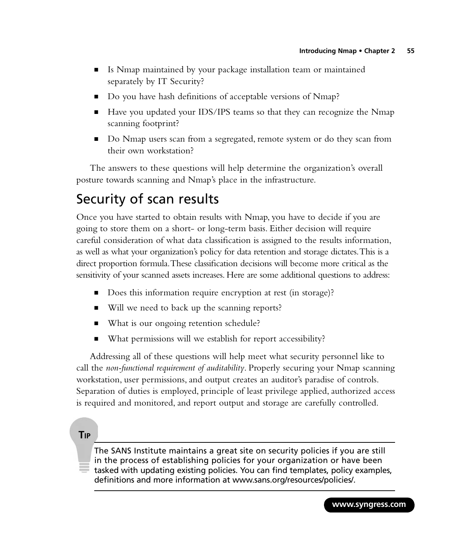- Is Nmap maintained by your package installation team or maintained separately by IT Security?
- Do you have hash definitions of acceptable versions of Nmap?
- Have you updated your IDS/IPS teams so that they can recognize the Nmap scanning footprint?
- Do Nmap users scan from a segregated, remote system or do they scan from their own workstation?

The answers to these questions will help determine the organization's overall posture towards scanning and Nmap's place in the infrastructure.

### Security of scan results

Once you have started to obtain results with Nmap, you have to decide if you are going to store them on a short- or long-term basis. Either decision will require careful consideration of what data classification is assigned to the results information, as well as what your organization's policy for data retention and storage dictates. This is a direct proportion formula. These classification decisions will become more critical as the sensitivity of your scanned assets increases. Here are some additional questions to address:

- Does this information require encryption at rest (in storage)?
- Will we need to back up the scanning reports?
- What is our ongoing retention schedule?
- What permissions will we establish for report accessibility?

Addressing all of these questions will help meet what security personnel like to call the *non-functional requirement of auditability*. Properly securing your Nmap scanning workstation, user permissions, and output creates an auditor's paradise of controls. Separation of duties is employed, principle of least privilege applied, authorized access is required and monitored, and report output and storage are carefully controlled.

**TIP**

The SANS Institute maintains a great site on security policies if you are still in the process of establishing policies for your organization or have been tasked with updating existing policies. You can find templates, policy examples, definitions and more information at www.sans.org/resources/policies/.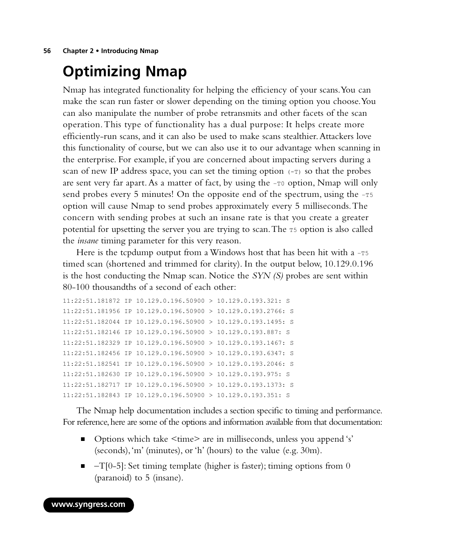## **Optimizing Nmap**

Nmap has integrated functionality for helping the efficiency of your scans. You can make the scan run faster or slower depending on the timing option you choose. You can also manipulate the number of probe retransmits and other facets of the scan operation. This type of functionality has a dual purpose: It helps create more efficiently-run scans, and it can also be used to make scans stealthier. Attackers love this functionality of course, but we can also use it to our advantage when scanning in the enterprise. For example, if you are concerned about impacting servers during a scan of new IP address space, you can set the timing option  $(-T)$  so that the probes are sent very far apart. As a matter of fact, by using the  $-\tau$ 0 option, Nmap will only send probes every 5 minutes! On the opposite end of the spectrum, using the  $-\tau$ 5 option will cause Nmap to send probes approximately every 5 milliseconds. The concern with sending probes at such an insane rate is that you create a greater potential for upsetting the server you are trying to scan. The T5 option is also called the *insane* timing parameter for this very reason.

Here is the tcpdump output from a Windows host that has been hit with a  $-15$ timed scan (shortened and trimmed for clarity). In the output below, 10.129.0.196 is the host conducting the Nmap scan. Notice the *SYN (S)* probes are sent within 80-100 thousandths of a second of each other:

```
11:22:51.181872 IP 10.129.0.196.50900 > 10.129.0.193.321: S
11:22:51.181956 IP 10.129.0.196.50900 > 10.129.0.193.2766: S
11:22:51.182044 IP 10.129.0.196.50900 > 10.129.0.193.1495: S
11:22:51.182146 IP 10.129.0.196.50900 > 10.129.0.193.887: S
11:22:51.182329 IP 10.129.0.196.50900 > 10.129.0.193.1467: S
11:22:51.182456 IP 10.129.0.196.50900 > 10.129.0.193.6347: S
11:22:51.182541 IP 10.129.0.196.50900 > 10.129.0.193.2046: S
11:22:51.182630 IP 10.129.0.196.50900 > 10.129.0.193.975: S
11:22:51.182717 IP 10.129.0.196.50900 > 10.129.0.193.1373: S
11:22:51.182843 IP 10.129.0.196.50900 > 10.129.0.193.351: S
```
The Nmap help documentation includes a section specific to timing and performance. For reference, here are some of the options and information available from that documentation:

- Options which take  $\leq$ time> are in milliseconds, unless you append 's' (seconds), 'm' (minutes), or 'h' (hours) to the value (e.g. 30m).
- $\blacksquare$  –T[0-5]: Set timing template (higher is faster); timing options from 0 (paranoid) to 5 (insane).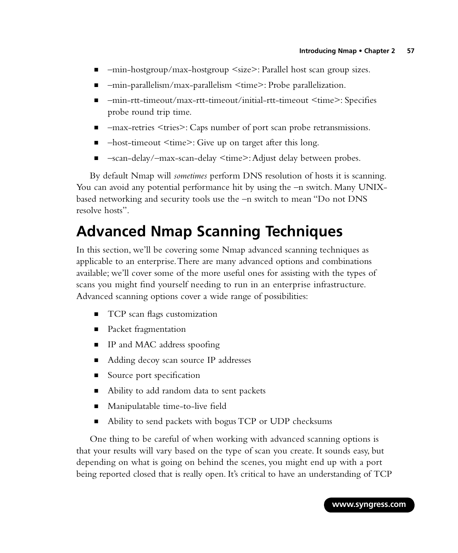- –min-hostgroup/max-hostgroup <size>: Parallel host scan group sizes.
- $-$ min-parallelism/max-parallelism  $\leq$ time $\geq$ : Probe parallelization.
- –min-rtt-timeout/max-rtt-timeout/initial-rtt-timeout <time>: Specifies probe round trip time.
- –max-retries <tries>: Caps number of port scan probe retransmissions.
- –host-timeout <time>: Give up on target after this long.
- –scan-delay/–max-scan-delay <time>: Adjust delay between probes.

By default Nmap will *sometimes* perform DNS resolution of hosts it is scanning. You can avoid any potential performance hit by using the –n switch. Many UNIXbased networking and security tools use the –n switch to mean "Do not DNS resolve hosts".

## **Advanced Nmap Scanning Techniques**

In this section, we'll be covering some Nmap advanced scanning techniques as applicable to an enterprise. There are many advanced options and combinations available; we'll cover some of the more useful ones for assisting with the types of scans you might find yourself needing to run in an enterprise infrastructure. Advanced scanning options cover a wide range of possibilities:

- TCP scan flags customization
- Packet fragmentation
- IP and MAC address spoofing
- Adding decoy scan source IP addresses
- Source port specification
- Ability to add random data to sent packets
- Manipulatable time-to-live field
- Ability to send packets with bogus TCP or UDP checksums

One thing to be careful of when working with advanced scanning options is that your results will vary based on the type of scan you create. It sounds easy, but depending on what is going on behind the scenes, you might end up with a port being reported closed that is really open. It's critical to have an understanding of TCP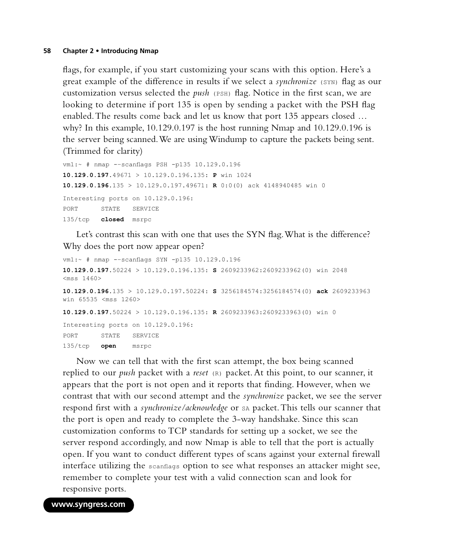flags, for example, if you start customizing your scans with this option. Here's a great example of the difference in results if we select a *synchronize* (SYN) flag as our customization versus selected the *push* (PSH) flag. Notice in the first scan, we are looking to determine if port 135 is open by sending a packet with the PSH flag enabled. The results come back and let us know that port 135 appears closed … why? In this example, 10.129.0.197 is the host running Nmap and 10.129.0.196 is the server being scanned. We are using Windump to capture the packets being sent. (Trimmed for clarity)

```
vm1:~ # nmap -–scanflags PSH -p135 10.129.0.196
10.129.0.197.49671 > 10.129.0.196.135: P win 1024
10.129.0.196.135 > 10.129.0.197.49671: R 0:0(0) ack 4148940485 win 0
Interesting ports on 10.129.0.196:
PORT STATE SERVICE
135/tcp closed msrpc
```
Let's contrast this scan with one that uses the SYN flag. What is the difference? Why does the port now appear open?

```
vm1:~ # nmap -–scanflags SYN -p135 10.129.0.196
10.129.0.197.50224 > 10.129.0.196.135: S 2609233962:2609233962(0) win 2048 
<mss 1460>
10.129.0.196.135 > 10.129.0.197.50224: S 3256184574:3256184574(0) ack 2609233963 
win 65535 <mss 1260>
10.129.0.197.50224 > 10.129.0.196.135: R 2609233963:2609233963(0) win 0
Interesting ports on 10.129.0.196:
PORT STATE SERVICE
135/tcp open msrpc
```
Now we can tell that with the first scan attempt, the box being scanned replied to our *push* packet with a *reset* (R) packet. At this point, to our scanner, it appears that the port is not open and it reports that finding. However, when we contrast that with our second attempt and the *synchronize* packet, we see the server respond first with a *synchronize/acknowledge* or sa packet. This tells our scanner that the port is open and ready to complete the 3-way handshake. Since this scan customization conforms to TCP standards for setting up a socket, we see the server respond accordingly, and now Nmap is able to tell that the port is actually open. If you want to conduct different types of scans against your external firewall interface utilizing the scanflags option to see what responses an attacker might see, remember to complete your test with a valid connection scan and look for responsive ports.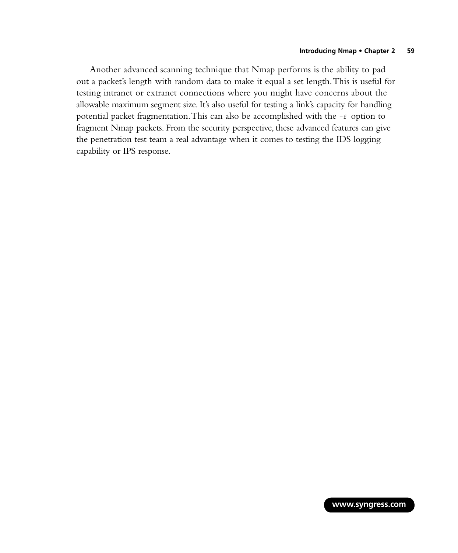#### **Introducing Nmap • Chapter 2 59**

Another advanced scanning technique that Nmap performs is the ability to pad out a packet's length with random data to make it equal a set length. This is useful for testing intranet or extranet connections where you might have concerns about the allowable maximum segment size. It's also useful for testing a link's capacity for handling potential packet fragmentation. This can also be accomplished with the –f option to fragment Nmap packets. From the security perspective, these advanced features can give the penetration test team a real advantage when it comes to testing the IDS logging capability or IPS response.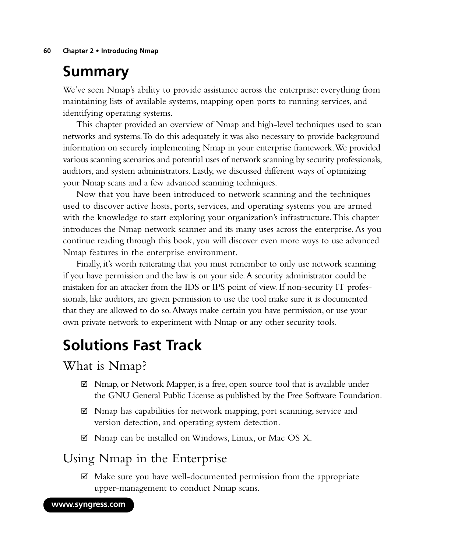## **Summary**

We've seen Nmap's ability to provide assistance across the enterprise: everything from maintaining lists of available systems, mapping open ports to running services, and identifying operating systems.

This chapter provided an overview of Nmap and high-level techniques used to scan networks and systems. To do this adequately it was also necessary to provide background information on securely implementing Nmap in your enterprise framework. We provided various scanning scenarios and potential uses of network scanning by security professionals, auditors, and system administrators. Lastly, we discussed different ways of optimizing your Nmap scans and a few advanced scanning techniques.

Now that you have been introduced to network scanning and the techniques used to discover active hosts, ports, services, and operating systems you are armed with the knowledge to start exploring your organization's infrastructure. This chapter introduces the Nmap network scanner and its many uses across the enterprise. As you continue reading through this book, you will discover even more ways to use advanced Nmap features in the enterprise environment.

Finally, it's worth reiterating that you must remember to only use network scanning if you have permission and the law is on your side. A security administrator could be mistaken for an attacker from the IDS or IPS point of view. If non-security IT professionals, like auditors, are given permission to use the tool make sure it is documented that they are allowed to do so. Always make certain you have permission, or use your own private network to experiment with Nmap or any other security tools.

## **Solutions Fast Track**

What is Nmap?

- $\boxtimes$  Nmap, or Network Mapper, is a free, open source tool that is available under the GNU General Public License as published by the Free Software Foundation.
- ˛ Nmap has capabilities for network mapping, port scanning, service and version detection, and operating system detection.
- $\boxtimes$  Nmap can be installed on Windows, Linux, or Mac OS X.

### Using Nmap in the Enterprise

 $\boxtimes$  Make sure you have well-documented permission from the appropriate upper-management to conduct Nmap scans.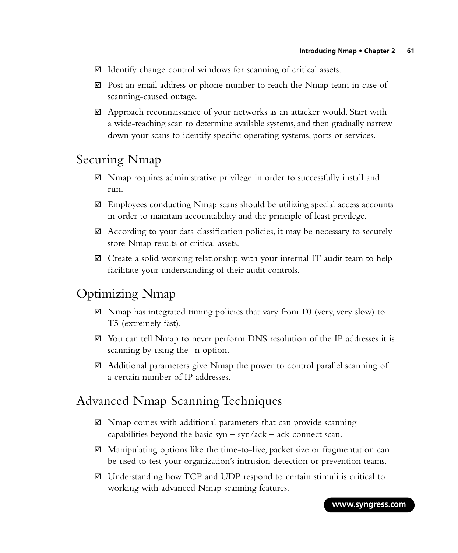- ˛ Identify change control windows for scanning of critical assets.
- $\boxtimes$  Post an email address or phone number to reach the Nmap team in case of scanning-caused outage.
- $\boxtimes$  Approach reconnaissance of your networks as an attacker would. Start with a wide-reaching scan to determine available systems, and then gradually narrow down your scans to identify specific operating systems, ports or services.

### Securing Nmap

- ˛ Nmap requires administrative privilege in order to successfully install and run.
- $\boxtimes$  Employees conducting Nmap scans should be utilizing special access accounts in order to maintain accountability and the principle of least privilege.
- $\boxtimes$  According to your data classification policies, it may be necessary to securely store Nmap results of critical assets.
- $\boxtimes$  Create a solid working relationship with your internal IT audit team to help facilitate your understanding of their audit controls.

### Optimizing Nmap

- $\boxtimes$  Nmap has integrated timing policies that vary from T0 (very, very slow) to T5 (extremely fast).
- $\boxtimes$  You can tell Nmap to never perform DNS resolution of the IP addresses it is scanning by using the -n option.
- ˛ Additional parameters give Nmap the power to control parallel scanning of a certain number of IP addresses.

### Advanced Nmap Scanning Techniques

- $\boxtimes$  Nmap comes with additional parameters that can provide scanning capabilities beyond the basic syn – syn/ack – ack connect scan.
- $\boxtimes$  Manipulating options like the time-to-live, packet size or fragmentation can be used to test your organization's intrusion detection or prevention teams.
- $\boxtimes$  Understanding how TCP and UDP respond to certain stimuli is critical to working with advanced Nmap scanning features.